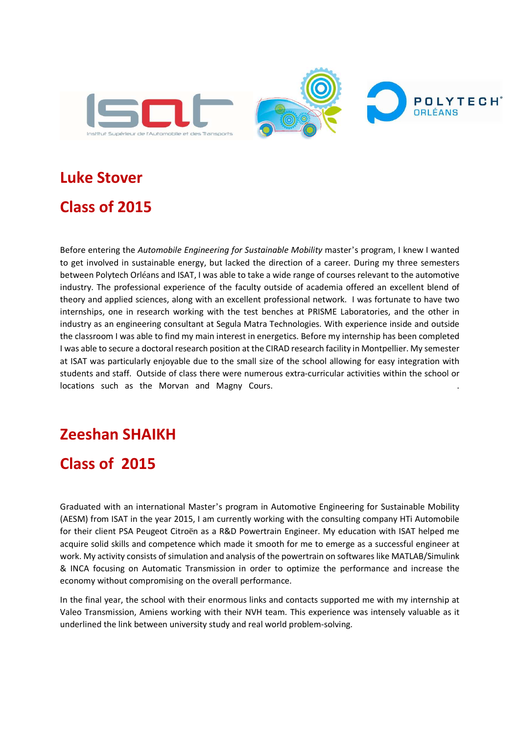

# **Luke Stover Class of 2015**

Before entering the *Automobile Engineering for Sustainable Mobility* master's program, I knew I wanted to get involved in sustainable energy, but lacked the direction of a career. During my three semesters between Polytech Orléans and ISAT, I was able to take a wide range of courses relevant to the automotive industry. The professional experience of the faculty outside of academia offered an excellent blend of theory and applied sciences, along with an excellent professional network. I was fortunate to have two internships, one in research working with the test benches at PRISME Laboratories, and the other in industry as an engineering consultant at Segula Matra Technologies. With experience inside and outside the classroom I was able to find my main interest in energetics. Before my internship has been completed I was able to secure a doctoral research position at the CIRAD research facility in Montpellier. My semester at ISAT was particularly enjoyable due to the small size of the school allowing for easy integration with students and staff. Outside of class there were numerous extra-curricular activities within the school or locations such as the Morvan and Magny Cours.

#### **Zeeshan SHAIKH**

#### **Class of 2015**

Graduated with an international Master's program in Automotive Engineering for Sustainable Mobility (AESM) from ISAT in the year 2015, I am currently working with the consulting company HTi Automobile for their client PSA Peugeot Citroën as a R&D Powertrain Engineer. My education with ISAT helped me acquire solid skills and competence which made it smooth for me to emerge as a successful engineer at work. My activity consists of simulation and analysis of the powertrain on softwares like MATLAB/Simulink & INCA focusing on Automatic Transmission in order to optimize the performance and increase the economy without compromising on the overall performance.

In the final year, the school with their enormous links and contacts supported me with my internship at Valeo Transmission, Amiens working with their NVH team. This experience was intensely valuable as it underlined the link between university study and real world problem-solving.